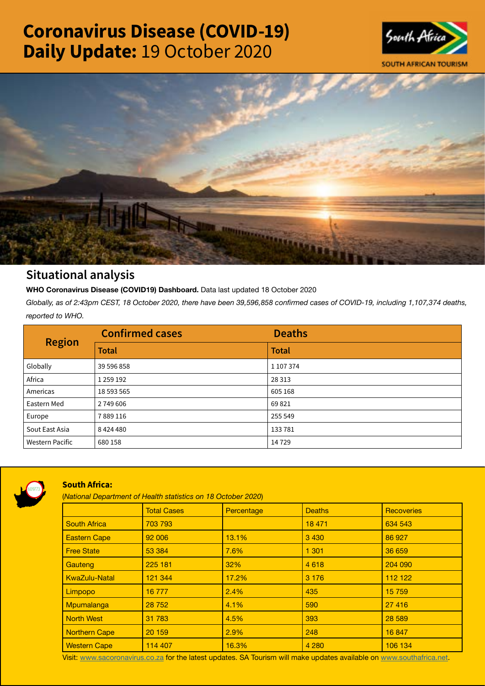# Coronavirus Disease (COVID-19) Daily Update: 19 October 2020





## Situational analysis

**WHO Coronavirus Disease (COVID19) Dashboard.** Data last updated 18 October 2020

*Globally, as of 2:43pm CEST, 18 October 2020, there have been 39,596,858 confirmed cases of COVID-19, including 1,107,374 deaths, reported to WHO.*

| <b>Region</b>          | <b>Confirmed cases</b> | <b>Deaths</b> |
|------------------------|------------------------|---------------|
|                        | <b>Total</b>           | <b>Total</b>  |
| Globally               | 39 596 858             | 1 107 374     |
| Africa                 | 1 259 192              | 28 3 13       |
| Americas               | 18 593 565             | 605 168       |
| Eastern Med            | 2749606                | 69821         |
| Europe                 | 7889116                | 255 549       |
| Sout East Asia         | 8424480                | 133781        |
| <b>Western Pacific</b> | 680 158                | 14729         |



### South Africa:

(*National Department of Health statistics on 18 October 2020*)

|                      | <b>Total Cases</b> | Percentage | <b>Deaths</b> | <b>Recoveries</b> |  |  |
|----------------------|--------------------|------------|---------------|-------------------|--|--|
| <b>South Africa</b>  | 703 793            |            | 18 471        | 634 543           |  |  |
| <b>Eastern Cape</b>  | 92 006             | 13.1%      | 3 4 3 0       | 86 927            |  |  |
| <b>Free State</b>    | 53 384             | 7.6%       | 1 3 0 1       | 36 659            |  |  |
| Gauteng              | 225 181            | 32%        | 4618          | 204 090           |  |  |
| <b>KwaZulu-Natal</b> | 121 344            | 17.2%      | 3 1 7 6       | 112 122           |  |  |
| Limpopo              | 16777              | 2.4%       | 435           | 15 759            |  |  |
| Mpumalanga           | 28 752             | 4.1%       | 590           | 27 4 16           |  |  |
| <b>North West</b>    | 31 783             | 4.5%       | 393           | 28 5 89           |  |  |
| Northern Cape        | 20 159             | 2.9%       | 248           | 16 847            |  |  |
| <b>Western Cape</b>  | 114 407            | 16.3%      | 4 2 8 0       | 106 134           |  |  |

Visit: [www.sacoronavirus.co.za](http://www.sacoronavirus.co.za) for the latest updates. SA Tourism will make updates available on [www.southafrica.net.](http://www.southafrica.net)